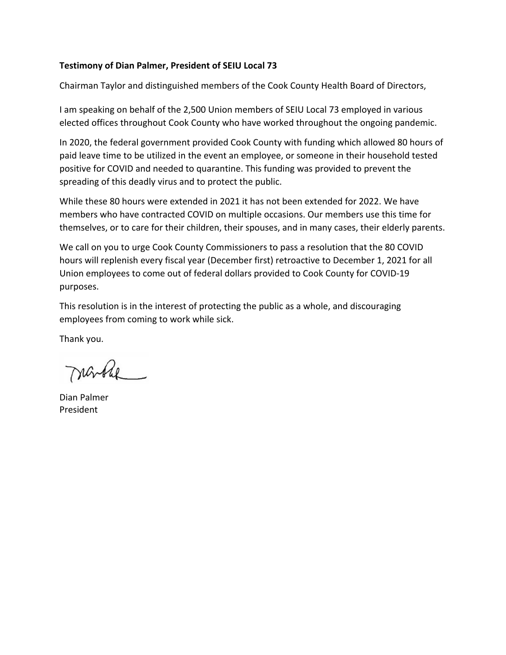## **Testimony of Dian Palmer, President of SEIU Local 73**

Chairman Taylor and distinguished members of the Cook County Health Board of Directors,

I am speaking on behalf of the 2,500 Union members of SEIU Local 73 employed in various elected offices throughout Cook County who have worked throughout the ongoing pandemic.

In 2020, the federal government provided Cook County with funding which allowed 80 hours of paid leave time to be utilized in the event an employee, or someone in their household tested positive for COVID and needed to quarantine. This funding was provided to prevent the spreading of this deadly virus and to protect the public.

While these 80 hours were extended in 2021 it has not been extended for 2022. We have members who have contracted COVID on multiple occasions. Our members use this time for themselves, or to care for their children, their spouses, and in many cases, their elderly parents.

We call on you to urge Cook County Commissioners to pass a resolution that the 80 COVID hours will replenish every fiscal year (December first) retroactive to December 1, 2021 for all Union employees to come out of federal dollars provided to Cook County for COVID‐19 purposes.

This resolution is in the interest of protecting the public as a whole, and discouraging employees from coming to work while sick.

Thank you.

narble

Dian Palmer President